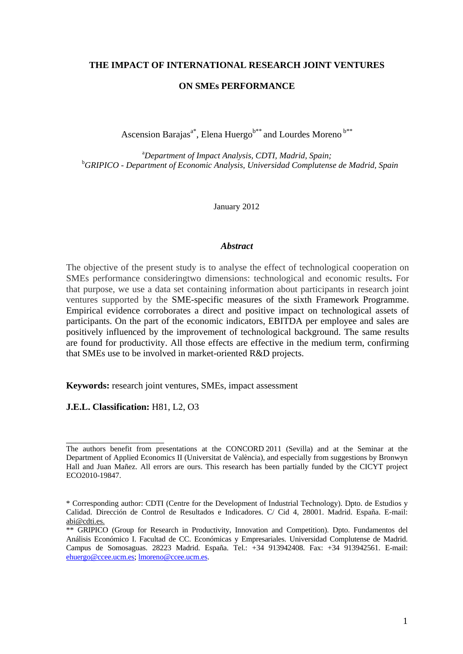## **THE IMPACT OF INTERNATIONAL RESEARCH JOINT VENTURES**

## **ON SMEs PERFORMANCE**

Ascension Barajas<sup>a\*</sup>, Elena Huergo<sup>b\*\*</sup> and Lourdes Moreno<sup>b\*\*</sup>

a *Department of Impact Analysis, CDTI, Madrid, Spain;*  b *GRIPICO - Department of Economic Analysis, Universidad Complutense de Madrid, Spain*

January 2012

## *Abstract*

The objective of the present study is to analyse the effect of technological cooperation on SMEs performance consideringtwo dimensions: technological and economic results**.** For that purpose, we use a data set containing information about participants in research joint ventures supported by the SME-specific measures of the sixth Framework Programme. Empirical evidence corroborates a direct and positive impact on technological assets of participants. On the part of the economic indicators, EBITDA per employee and sales are positively influenced by the improvement of technological background. The same results are found for productivity. All those effects are effective in the medium term, confirming that SMEs use to be involved in market-oriented R&D projects.

**Keywords:** research joint ventures, SMEs, impact assessment

**J.E.L. Classification:** H81, L2, O3

 $\overline{\phantom{a}}$  , we can also the contract of  $\overline{\phantom{a}}$ 

The authors benefit from presentations at the CONCORD 2011 (Sevilla) and at the Seminar at the Department of Applied Economics II (Universitat de València), and especially from suggestions by Bronwyn Hall and Juan Mañez. All errors are ours. This research has been partially funded by the CICYT project ECO2010-19847.

<sup>\*</sup> Corresponding author: CDTI (Centre for the Development of Industrial Technology). Dpto. de Estudios y Calidad. Dirección de Control de Resultados e Indicadores. C/ Cid 4, 28001. Madrid. España. E-mail: abi@cdti.es.

<sup>\*\*</sup> GRIPICO (Group for Research in Productivity, Innovation and Competition). Dpto. Fundamentos del Análisis Económico I. Facultad de CC. Económicas y Empresariales. Universidad Complutense de Madrid. Campus de Somosaguas. 28223 Madrid. España. Tel.: +34 913942408. Fax: +34 913942561. E-mail: ehuergo@ccee.ucm.es; lmoreno@ccee.ucm.es.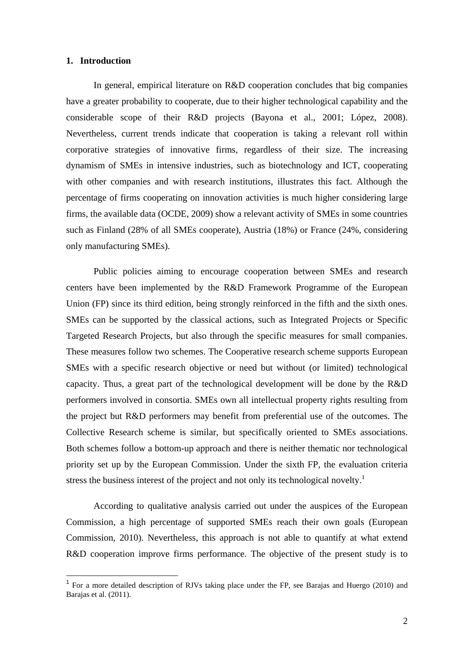## **1. Introduction**

<u>.</u>

In general, empirical literature on R&D cooperation concludes that big companies have a greater probability to cooperate, due to their higher technological capability and the considerable scope of their R&D projects (Bayona et al., 2001; López, 2008). Nevertheless, current trends indicate that cooperation is taking a relevant roll within corporative strategies of innovative firms, regardless of their size. The increasing dynamism of SMEs in intensive industries, such as biotechnology and ICT, cooperating with other companies and with research institutions, illustrates this fact. Although the percentage of firms cooperating on innovation activities is much higher considering large firms, the available data (OCDE, 2009) show a relevant activity of SMEs in some countries such as Finland (28% of all SMEs cooperate), Austria (18%) or France (24%, considering only manufacturing SMEs).

Public policies aiming to encourage cooperation between SMEs and research centers have been implemented by the R&D Framework Programme of the European Union (FP) since its third edition, being strongly reinforced in the fifth and the sixth ones. SMEs can be supported by the classical actions, such as Integrated Projects or Specific Targeted Research Projects, but also through the specific measures for small companies. These measures follow two schemes. The Cooperative research scheme supports European SMEs with a specific research objective or need but without (or limited) technological capacity. Thus, a great part of the technological development will be done by the R&D performers involved in consortia. SMEs own all intellectual property rights resulting from the project but R&D performers may benefit from preferential use of the outcomes. The Collective Research scheme is similar, but specifically oriented to SMEs associations. Both schemes follow a bottom-up approach and there is neither thematic nor technological priority set up by the European Commission. Under the sixth FP, the evaluation criteria stress the business interest of the project and not only its technological novelty.<sup>1</sup>

According to qualitative analysis carried out under the auspices of the European Commission, a high percentage of supported SMEs reach their own goals (European Commission, 2010). Nevertheless, this approach is not able to quantify at what extend R&D cooperation improve firms performance. The objective of the present study is to

<sup>&</sup>lt;sup>1</sup> For a more detailed description of RJVs taking place under the FP, see Barajas and Huergo (2010) and Barajas et al. (2011).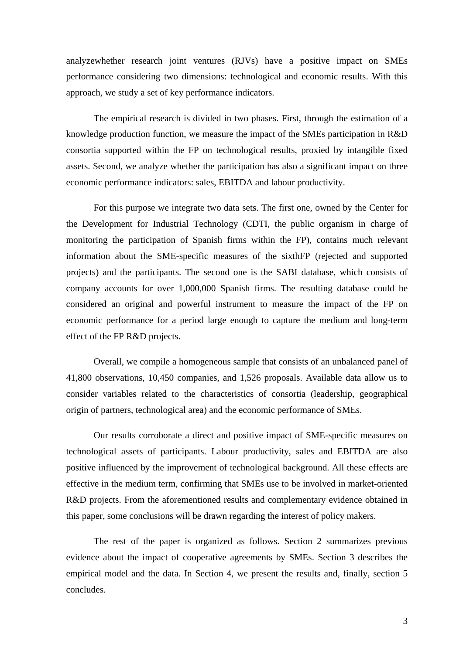analyzewhether research joint ventures (RJVs) have a positive impact on SMEs performance considering two dimensions: technological and economic results. With this approach, we study a set of key performance indicators.

The empirical research is divided in two phases. First, through the estimation of a knowledge production function, we measure the impact of the SMEs participation in R&D consortia supported within the FP on technological results, proxied by intangible fixed assets. Second, we analyze whether the participation has also a significant impact on three economic performance indicators: sales, EBITDA and labour productivity.

For this purpose we integrate two data sets. The first one, owned by the Center for the Development for Industrial Technology (CDTI, the public organism in charge of monitoring the participation of Spanish firms within the FP), contains much relevant information about the SME-specific measures of the sixthFP (rejected and supported projects) and the participants. The second one is the SABI database, which consists of company accounts for over 1,000,000 Spanish firms. The resulting database could be considered an original and powerful instrument to measure the impact of the FP on economic performance for a period large enough to capture the medium and long-term effect of the FP R&D projects.

Overall, we compile a homogeneous sample that consists of an unbalanced panel of 41,800 observations, 10,450 companies, and 1,526 proposals. Available data allow us to consider variables related to the characteristics of consortia (leadership, geographical origin of partners, technological area) and the economic performance of SMEs.

Our results corroborate a direct and positive impact of SME-specific measures on technological assets of participants. Labour productivity, sales and EBITDA are also positive influenced by the improvement of technological background. All these effects are effective in the medium term, confirming that SMEs use to be involved in market-oriented R&D projects. From the aforementioned results and complementary evidence obtained in this paper, some conclusions will be drawn regarding the interest of policy makers.

The rest of the paper is organized as follows. Section 2 summarizes previous evidence about the impact of cooperative agreements by SMEs. Section 3 describes the empirical model and the data. In Section 4, we present the results and, finally, section 5 concludes.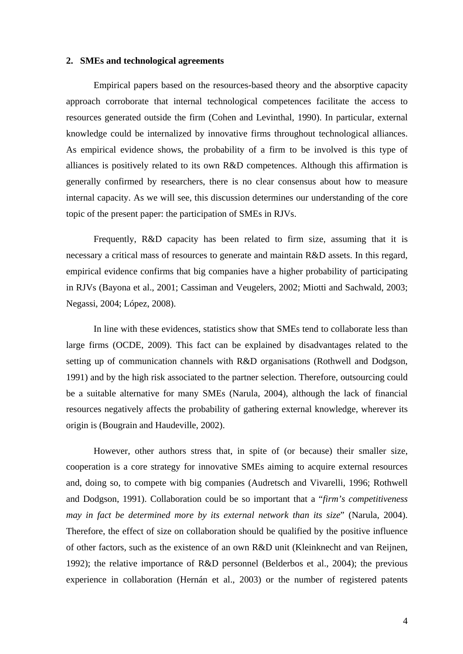## **2. SMEs and technological agreements**

Empirical papers based on the resources-based theory and the absorptive capacity approach corroborate that internal technological competences facilitate the access to resources generated outside the firm (Cohen and Levinthal, 1990). In particular, external knowledge could be internalized by innovative firms throughout technological alliances. As empirical evidence shows, the probability of a firm to be involved is this type of alliances is positively related to its own R&D competences. Although this affirmation is generally confirmed by researchers, there is no clear consensus about how to measure internal capacity. As we will see, this discussion determines our understanding of the core topic of the present paper: the participation of SMEs in RJVs.

Frequently, R&D capacity has been related to firm size, assuming that it is necessary a critical mass of resources to generate and maintain R&D assets. In this regard, empirical evidence confirms that big companies have a higher probability of participating in RJVs (Bayona et al., 2001; Cassiman and Veugelers, 2002; Miotti and Sachwald, 2003; Negassi, 2004; López, 2008).

In line with these evidences, statistics show that SMEs tend to collaborate less than large firms (OCDE, 2009). This fact can be explained by disadvantages related to the setting up of communication channels with R&D organisations (Rothwell and Dodgson, 1991) and by the high risk associated to the partner selection. Therefore, outsourcing could be a suitable alternative for many SMEs (Narula, 2004), although the lack of financial resources negatively affects the probability of gathering external knowledge, wherever its origin is (Bougrain and Haudeville, 2002).

However, other authors stress that, in spite of (or because) their smaller size, cooperation is a core strategy for innovative SMEs aiming to acquire external resources and, doing so, to compete with big companies (Audretsch and Vivarelli, 1996; Rothwell and Dodgson, 1991). Collaboration could be so important that a "*firm's competitiveness may in fact be determined more by its external network than its size*" (Narula, 2004). Therefore, the effect of size on collaboration should be qualified by the positive influence of other factors, such as the existence of an own R&D unit (Kleinknecht and van Reijnen, 1992); the relative importance of R&D personnel (Belderbos et al., 2004); the previous experience in collaboration (Hernán et al., 2003) or the number of registered patents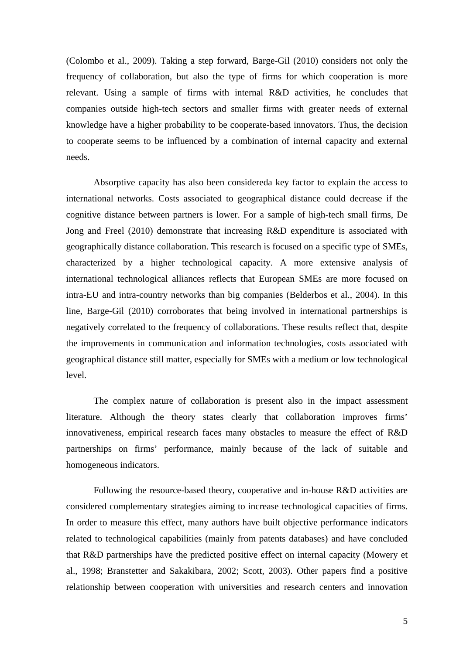(Colombo et al., 2009). Taking a step forward, Barge-Gil (2010) considers not only the frequency of collaboration, but also the type of firms for which cooperation is more relevant. Using a sample of firms with internal R&D activities, he concludes that companies outside high-tech sectors and smaller firms with greater needs of external knowledge have a higher probability to be cooperate-based innovators. Thus, the decision to cooperate seems to be influenced by a combination of internal capacity and external needs.

Absorptive capacity has also been considereda key factor to explain the access to international networks. Costs associated to geographical distance could decrease if the cognitive distance between partners is lower. For a sample of high-tech small firms, De Jong and Freel (2010) demonstrate that increasing R&D expenditure is associated with geographically distance collaboration. This research is focused on a specific type of SMEs, characterized by a higher technological capacity. A more extensive analysis of international technological alliances reflects that European SMEs are more focused on intra-EU and intra-country networks than big companies (Belderbos et al., 2004). In this line, Barge-Gil (2010) corroborates that being involved in international partnerships is negatively correlated to the frequency of collaborations. These results reflect that, despite the improvements in communication and information technologies, costs associated with geographical distance still matter, especially for SMEs with a medium or low technological level.

The complex nature of collaboration is present also in the impact assessment literature. Although the theory states clearly that collaboration improves firms' innovativeness, empirical research faces many obstacles to measure the effect of R&D partnerships on firms' performance, mainly because of the lack of suitable and homogeneous indicators.

Following the resource-based theory, cooperative and in-house R&D activities are considered complementary strategies aiming to increase technological capacities of firms. In order to measure this effect, many authors have built objective performance indicators related to technological capabilities (mainly from patents databases) and have concluded that R&D partnerships have the predicted positive effect on internal capacity (Mowery et al., 1998; Branstetter and Sakakibara, 2002; Scott, 2003). Other papers find a positive relationship between cooperation with universities and research centers and innovation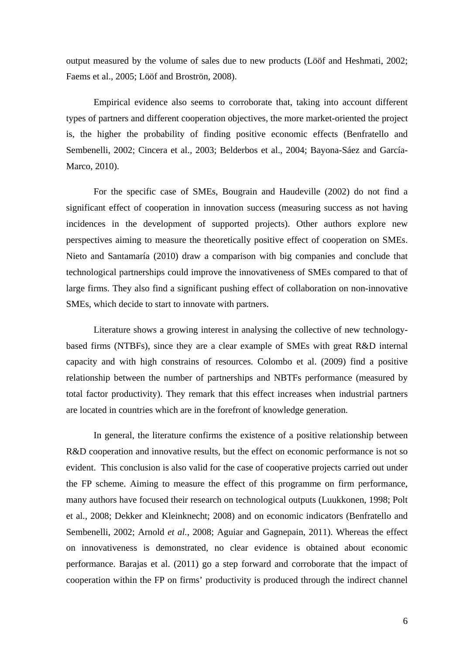output measured by the volume of sales due to new products (Lööf and Heshmati, 2002; Faems et al., 2005; Lööf and Broströn, 2008).

Empirical evidence also seems to corroborate that, taking into account different types of partners and different cooperation objectives, the more market-oriented the project is, the higher the probability of finding positive economic effects (Benfratello and Sembenelli, 2002; Cincera et al., 2003; Belderbos et al., 2004; Bayona-Sáez and García-Marco, 2010).

For the specific case of SMEs, Bougrain and Haudeville (2002) do not find a significant effect of cooperation in innovation success (measuring success as not having incidences in the development of supported projects). Other authors explore new perspectives aiming to measure the theoretically positive effect of cooperation on SMEs. Nieto and Santamaría (2010) draw a comparison with big companies and conclude that technological partnerships could improve the innovativeness of SMEs compared to that of large firms. They also find a significant pushing effect of collaboration on non-innovative SMEs, which decide to start to innovate with partners.

Literature shows a growing interest in analysing the collective of new technologybased firms (NTBFs), since they are a clear example of SMEs with great R&D internal capacity and with high constrains of resources. Colombo et al. (2009) find a positive relationship between the number of partnerships and NBTFs performance (measured by total factor productivity). They remark that this effect increases when industrial partners are located in countries which are in the forefront of knowledge generation.

In general, the literature confirms the existence of a positive relationship between R&D cooperation and innovative results, but the effect on economic performance is not so evident. This conclusion is also valid for the case of cooperative projects carried out under the FP scheme. Aiming to measure the effect of this programme on firm performance, many authors have focused their research on technological outputs (Luukkonen, 1998; Polt et al., 2008; Dekker and Kleinknecht; 2008) and on economic indicators (Benfratello and Sembenelli, 2002; Arnold *et al.*, 2008; Aguiar and Gagnepain, 2011). Whereas the effect on innovativeness is demonstrated, no clear evidence is obtained about economic performance. Barajas et al. (2011) go a step forward and corroborate that the impact of cooperation within the FP on firms' productivity is produced through the indirect channel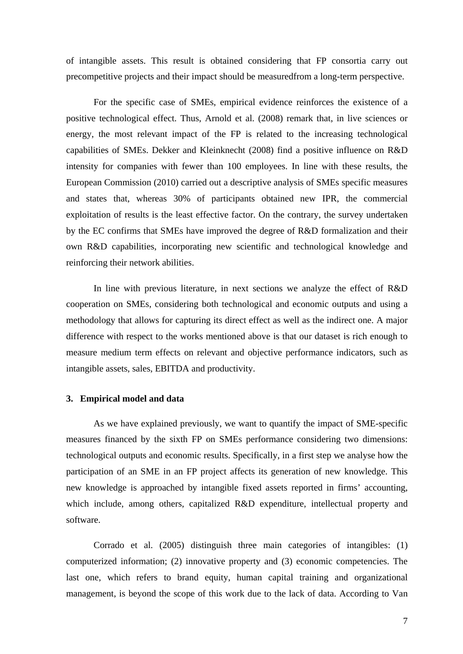of intangible assets. This result is obtained considering that FP consortia carry out precompetitive projects and their impact should be measuredfrom a long-term perspective.

For the specific case of SMEs, empirical evidence reinforces the existence of a positive technological effect. Thus, Arnold et al. (2008) remark that, in live sciences or energy, the most relevant impact of the FP is related to the increasing technological capabilities of SMEs. Dekker and Kleinknecht (2008) find a positive influence on R&D intensity for companies with fewer than 100 employees. In line with these results, the European Commission (2010) carried out a descriptive analysis of SMEs specific measures and states that, whereas 30% of participants obtained new IPR, the commercial exploitation of results is the least effective factor. On the contrary, the survey undertaken by the EC confirms that SMEs have improved the degree of R&D formalization and their own R&D capabilities, incorporating new scientific and technological knowledge and reinforcing their network abilities.

In line with previous literature, in next sections we analyze the effect of R&D cooperation on SMEs, considering both technological and economic outputs and using a methodology that allows for capturing its direct effect as well as the indirect one. A major difference with respect to the works mentioned above is that our dataset is rich enough to measure medium term effects on relevant and objective performance indicators, such as intangible assets, sales, EBITDA and productivity.

## **3. Empirical model and data**

As we have explained previously, we want to quantify the impact of SME-specific measures financed by the sixth FP on SMEs performance considering two dimensions: technological outputs and economic results. Specifically, in a first step we analyse how the participation of an SME in an FP project affects its generation of new knowledge. This new knowledge is approached by intangible fixed assets reported in firms' accounting, which include, among others, capitalized R&D expenditure, intellectual property and software.

Corrado et al. (2005) distinguish three main categories of intangibles: (1) computerized information; (2) innovative property and (3) economic competencies. The last one, which refers to brand equity, human capital training and organizational management, is beyond the scope of this work due to the lack of data. According to Van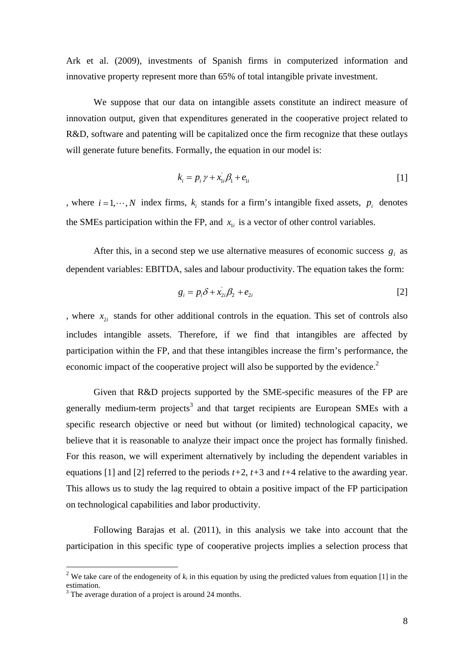Ark et al. (2009), investments of Spanish firms in computerized information and innovative property represent more than 65% of total intangible private investment.

We suppose that our data on intangible assets constitute an indirect measure of innovation output, given that expenditures generated in the cooperative project related to R&D, software and patenting will be capitalized once the firm recognize that these outlays will generate future benefits. Formally, the equation in our model is:

$$
k_i = p_i \gamma + x_{1i} \beta_1 + e_{1i} \tag{1}
$$

, where  $i = 1, \dots, N$  index firms,  $k_i$  stands for a firm's intangible fixed assets,  $p_i$  denotes the SMEs participation within the FP, and  $x_{1i}$  is a vector of other control variables.

After this, in a second step we use alternative measures of economic success  $g_i$  as dependent variables: EBITDA, sales and labour productivity. The equation takes the form:

$$
g_i = p_i \delta + x_{2i} \beta_2 + e_{2i}
$$
 [2]

, where  $x_{2i}$  stands for other additional controls in the equation. This set of controls also includes intangible assets. Therefore, if we find that intangibles are affected by participation within the FP, and that these intangibles increase the firm's performance, the economic impact of the cooperative project will also be supported by the evidence.<sup>2</sup>

Given that R&D projects supported by the SME-specific measures of the FP are generally medium-term projects<sup>3</sup> and that target recipients are European SMEs with a specific research objective or need but without (or limited) technological capacity, we believe that it is reasonable to analyze their impact once the project has formally finished. For this reason, we will experiment alternatively by including the dependent variables in equations [1] and [2] referred to the periods  $t+2$ ,  $t+3$  and  $t+4$  relative to the awarding year. This allows us to study the lag required to obtain a positive impact of the FP participation on technological capabilities and labor productivity.

Following Barajas et al. (2011), in this analysis we take into account that the participation in this specific type of cooperative projects implies a selection process that

<sup>&</sup>lt;sup>2</sup> We take care of the endogeneity of  $k_i$  in this equation by using the predicted values from equation [1] in the estimation.

<sup>&</sup>lt;sup>3</sup> The average duration of a project is around 24 months.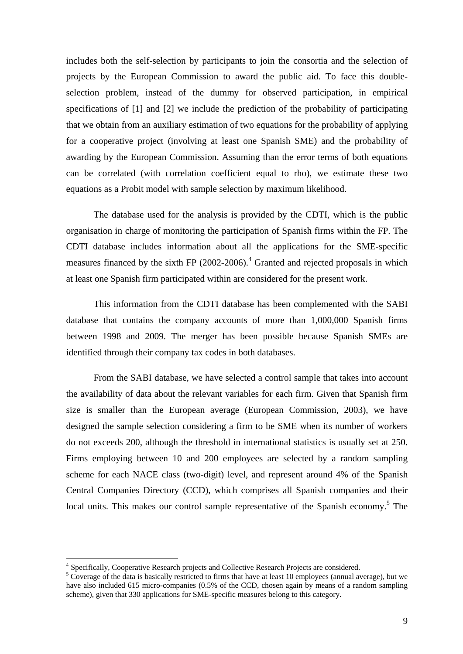includes both the self-selection by participants to join the consortia and the selection of projects by the European Commission to award the public aid. To face this doubleselection problem, instead of the dummy for observed participation, in empirical specifications of [1] and [2] we include the prediction of the probability of participating that we obtain from an auxiliary estimation of two equations for the probability of applying for a cooperative project (involving at least one Spanish SME) and the probability of awarding by the European Commission. Assuming than the error terms of both equations can be correlated (with correlation coefficient equal to rho), we estimate these two equations as a Probit model with sample selection by maximum likelihood.

The database used for the analysis is provided by the CDTI, which is the public organisation in charge of monitoring the participation of Spanish firms within the FP. The CDTI database includes information about all the applications for the SME-specific measures financed by the sixth FP  $(2002-2006)$ .<sup>4</sup> Granted and rejected proposals in which at least one Spanish firm participated within are considered for the present work.

This information from the CDTI database has been complemented with the SABI database that contains the company accounts of more than 1,000,000 Spanish firms between 1998 and 2009. The merger has been possible because Spanish SMEs are identified through their company tax codes in both databases.

From the SABI database, we have selected a control sample that takes into account the availability of data about the relevant variables for each firm. Given that Spanish firm size is smaller than the European average (European Commission, 2003), we have designed the sample selection considering a firm to be SME when its number of workers do not exceeds 200, although the threshold in international statistics is usually set at 250. Firms employing between 10 and 200 employees are selected by a random sampling scheme for each NACE class (two-digit) level, and represent around 4% of the Spanish Central Companies Directory (CCD), which comprises all Spanish companies and their local units. This makes our control sample representative of the Spanish economy.<sup>5</sup> The

<sup>&</sup>lt;sup>4</sup> Specifically, Cooperative Research projects and Collective Research Projects are considered.

<sup>&</sup>lt;sup>5</sup> Coverage of the data is basically restricted to firms that have at least 10 employees (annual average), but we have also included 615 micro-companies (0.5% of the CCD, chosen again by means of a random sampling scheme), given that 330 applications for SME-specific measures belong to this category.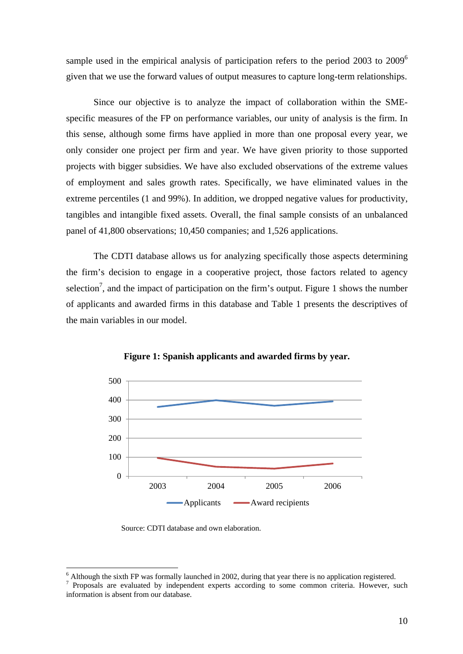sample used in the empirical analysis of participation refers to the period 2003 to 2009<sup>6</sup> given that we use the forward values of output measures to capture long-term relationships.

Since our objective is to analyze the impact of collaboration within the SMEspecific measures of the FP on performance variables, our unity of analysis is the firm. In this sense, although some firms have applied in more than one proposal every year, we only consider one project per firm and year. We have given priority to those supported projects with bigger subsidies. We have also excluded observations of the extreme values of employment and sales growth rates. Specifically, we have eliminated values in the extreme percentiles (1 and 99%). In addition, we dropped negative values for productivity, tangibles and intangible fixed assets. Overall, the final sample consists of an unbalanced panel of 41,800 observations; 10,450 companies; and 1,526 applications.

The CDTI database allows us for analyzing specifically those aspects determining the firm's decision to engage in a cooperative project, those factors related to agency selection<sup>7</sup>, and the impact of participation on the firm's output. Figure 1 shows the number of applicants and awarded firms in this database and Table 1 presents the descriptives of the main variables in our model.



**Figure 1: Spanish applicants and awarded firms by year.** 

Source: CDTI database and own elaboration.

 $^6$  Although the sixth FP was formally launched in 2002, during that year there is no application registered.

Proposals are evaluated by independent experts according to some common criteria. However, such information is absent from our database.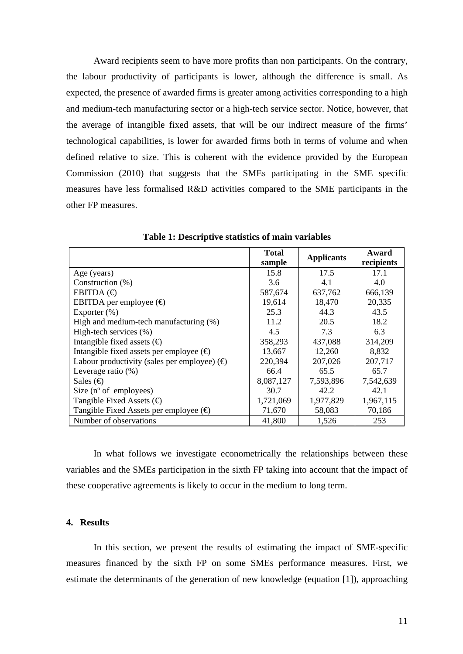Award recipients seem to have more profits than non participants. On the contrary, the labour productivity of participants is lower, although the difference is small. As expected, the presence of awarded firms is greater among activities corresponding to a high and medium-tech manufacturing sector or a high-tech service sector. Notice, however, that the average of intangible fixed assets, that will be our indirect measure of the firms' technological capabilities, is lower for awarded firms both in terms of volume and when defined relative to size. This is coherent with the evidence provided by the European Commission (2010) that suggests that the SMEs participating in the SME specific measures have less formalised R&D activities compared to the SME participants in the other FP measures.

|                                                        | <b>Total</b><br>sample | <b>Applicants</b> | Award<br>recipients |
|--------------------------------------------------------|------------------------|-------------------|---------------------|
| Age (years)                                            | 15.8                   | 17.5              | 17.1                |
| Construction (%)                                       | 3.6                    | 4.1               | 4.0                 |
| EBITDA $(\oplus$                                       | 587,674                | 637,762           | 666,139             |
| EBITDA per employee $(\oplus)$                         | 19,614                 | 18,470            | 20,335              |
| Exporter $(\%)$                                        | 25.3                   | 44.3              | 43.5                |
| High and medium-tech manufacturing (%)                 | 11.2                   | 20.5              | 18.2                |
| High-tech services (%)                                 | 4.5                    | 7.3               | 6.3                 |
| Intangible fixed assets $(\oplus)$                     | 358,293                | 437,088           | 314,209             |
| Intangible fixed assets per employee $(\triangleleft)$ | 13,667                 | 12,260            | 8,832               |
| Labour productivity (sales per employee) $(\oplus)$    | 220,394                | 207,026           | 207,717             |
| Leverage ratio $(\%)$                                  | 66.4                   | 65.5              | 65.7                |
| Sales (€)                                              | 8,087,127              | 7,593,896         | 7,542,639           |
| Size $(n^{\circ}$ of employees)                        | 30.7                   | 42.2              | 42.1                |
| Tangible Fixed Assets $(\oplus)$                       | 1,721,069              | 1,977,829         | 1,967,115           |
| Tangible Fixed Assets per employee $(\bigoplus$        | 71,670                 | 58,083            | 70,186              |
| Number of observations                                 | 41,800                 | 1,526             | 253                 |

**Table 1: Descriptive statistics of main variables**

In what follows we investigate econometrically the relationships between these variables and the SMEs participation in the sixth FP taking into account that the impact of these cooperative agreements is likely to occur in the medium to long term.

## **4. Results**

In this section, we present the results of estimating the impact of SME-specific measures financed by the sixth FP on some SMEs performance measures. First, we estimate the determinants of the generation of new knowledge (equation [1]), approaching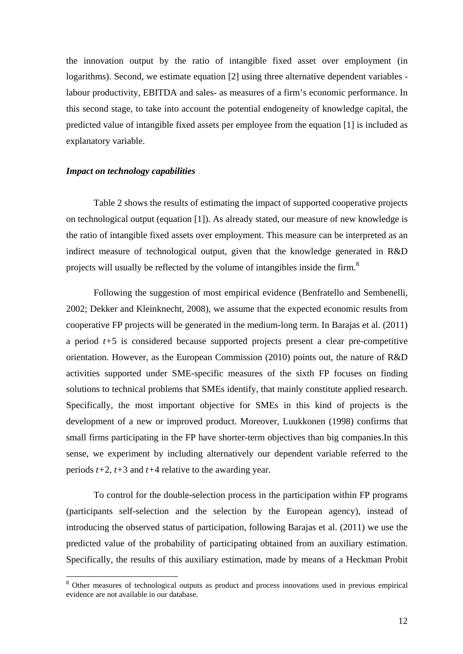the innovation output by the ratio of intangible fixed asset over employment (in logarithms). Second, we estimate equation [2] using three alternative dependent variables labour productivity, EBITDA and sales- as measures of a firm's economic performance. In this second stage, to take into account the potential endogeneity of knowledge capital, the predicted value of intangible fixed assets per employee from the equation [1] is included as explanatory variable.

## *Impact on technology capabilities*

<u>.</u>

Table 2 shows the results of estimating the impact of supported cooperative projects on technological output (equation [1]). As already stated, our measure of new knowledge is the ratio of intangible fixed assets over employment. This measure can be interpreted as an indirect measure of technological output, given that the knowledge generated in R&D projects will usually be reflected by the volume of intangibles inside the firm.<sup>8</sup>

Following the suggestion of most empirical evidence (Benfratello and Sembenelli, 2002; Dekker and Kleinknecht, 2008), we assume that the expected economic results from cooperative FP projects will be generated in the medium-long term. In Barajas et al. (2011) a period *t+*5 is considered because supported projects present a clear pre-competitive orientation. However, as the European Commission (2010) points out, the nature of R&D activities supported under SME-specific measures of the sixth FP focuses on finding solutions to technical problems that SMEs identify, that mainly constitute applied research. Specifically, the most important objective for SMEs in this kind of projects is the development of a new or improved product. Moreover, Luukkonen (1998) confirms that small firms participating in the FP have shorter-term objectives than big companies.In this sense, we experiment by including alternatively our dependent variable referred to the periods *t+*2, *t+*3 and *t+*4 relative to the awarding year.

To control for the double-selection process in the participation within FP programs (participants self-selection and the selection by the European agency), instead of introducing the observed status of participation, following Barajas et al. (2011) we use the predicted value of the probability of participating obtained from an auxiliary estimation. Specifically, the results of this auxiliary estimation, made by means of a Heckman Probit

<sup>&</sup>lt;sup>8</sup> Other measures of technological outputs as product and process innovations used in previous empirical evidence are not available in our database.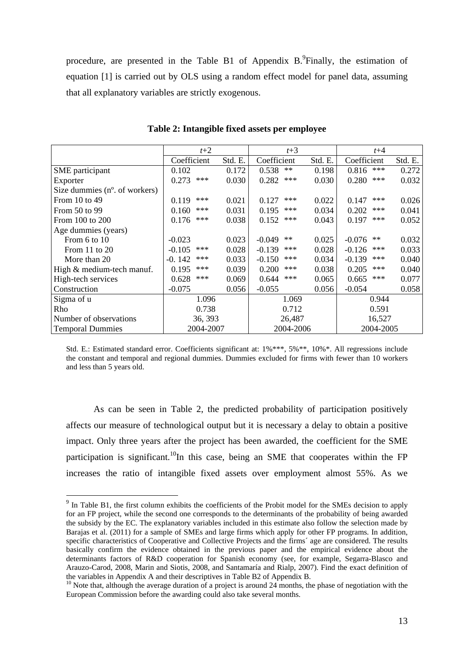procedure, are presented in the Table B1 of Appendix  $B^{\circ}$ Finally, the estimation of equation [1] is carried out by OLS using a random effect model for panel data, assuming that all explanatory variables are strictly exogenous.

|                                         | $t+2$           |         | $t+3$             |         | $t + 4$           |         |
|-----------------------------------------|-----------------|---------|-------------------|---------|-------------------|---------|
|                                         | Coefficient     | Std. E. | Coefficient       | Std. E. | Coefficient       | Std. E. |
| SME participant                         | 0.102           | 0.172   | 0.538<br>$**$     | 0.198   | $***$<br>0.816    | 0.272   |
| Exporter                                | ***<br>0.273    | 0.030   | ***<br>0.282      | 0.030   | ***<br>0.280      | 0.032   |
| Size dummies $(n^{\circ}$ . of workers) |                 |         |                   |         |                   |         |
| From $10$ to $49$                       | ***<br>0.119    | 0.021   | ***<br>0.127      | 0.022   | ***<br>0.147      | 0.026   |
| From 50 to 99                           | ***<br>0.160    | 0.031   | ***<br>0.195      | 0.034   | ***<br>0.202      | 0.041   |
| From 100 to 200                         | ***<br>0.176    | 0.038   | ***<br>0.152      | 0.043   | ***<br>0.197      | 0.052   |
| Age dummies (years)                     |                 |         |                   |         |                   |         |
| From $6$ to $10$                        | $-0.023$        | 0.023   | $***$<br>$-0.049$ | 0.025   | $-0.076$<br>$***$ | 0.032   |
| From $11$ to $20$                       | ***<br>$-0.105$ | 0.028   | ***<br>$-0.139$   | 0.028   | ***<br>$-0.126$   | 0.033   |
| More than 20                            | ***<br>$-0.142$ | 0.033   | ***<br>$-0.150$   | 0.034   | ***<br>$-0.139$   | 0.040   |
| High & medium-tech manuf.               | ***<br>0.195    | 0.039   | ***<br>0.200      | 0.038   | ***<br>0.205      | 0.040   |
| High-tech services                      | ***<br>0.628    | 0.069   | ***<br>0.644      | 0.065   | ***<br>0.665      | 0.077   |
| Construction                            | $-0.075$        | 0.056   | $-0.055$          | 0.056   | $-0.054$          | 0.058   |
| Sigma of u                              | 1.096           |         | 1.069             |         | 0.944             |         |
| Rho                                     | 0.738           |         | 0.712             |         | 0.591             |         |
| Number of observations                  | 36, 393         |         | 26,487            |         | 16,527            |         |
| <b>Temporal Dummies</b>                 | 2004-2007       |         | 2004-2006         |         | 2004-2005         |         |

#### **Table 2: Intangible fixed assets per employee**

Std. E.: Estimated standard error. Coefficients significant at: 1%\*\*\*, 5%\*\*, 10%\*. All regressions include the constant and temporal and regional dummies. Dummies excluded for firms with fewer than 10 workers and less than 5 years old.

As can be seen in Table 2, the predicted probability of participation positively affects our measure of technological output but it is necessary a delay to obtain a positive impact. Only three years after the project has been awarded, the coefficient for the SME participation is significant.<sup>10</sup>In this case, being an SME that cooperates within the FP increases the ratio of intangible fixed assets over employment almost 55%. As we

<u>.</u>

<sup>&</sup>lt;sup>9</sup> In Table B1, the first column exhibits the coefficients of the Probit model for the SMEs decision to apply for an FP project, while the second one corresponds to the determinants of the probability of being awarded the subsidy by the EC. The explanatory variables included in this estimate also follow the selection made by Barajas et al. (2011) for a sample of SMEs and large firms which apply for other FP programs. In addition, specific characteristics of Cooperative and Collective Projects and the firms<sup> $\epsilon$ </sup> age are considered. The results basically confirm the evidence obtained in the previous paper and the empirical evidence about the determinants factors of R&D cooperation for Spanish economy (see, for example, Segarra-Blasco and Arauzo-Carod, 2008, Marin and Siotis, 2008, and Santamaría and Rialp, 2007). Find the exact definition of the variables in Appendix A and their descriptives in Table B2 of Appendix B.

<sup>&</sup>lt;sup>10</sup> Note that, although the average duration of a project is around 24 months, the phase of negotiation with the European Commission before the awarding could also take several months.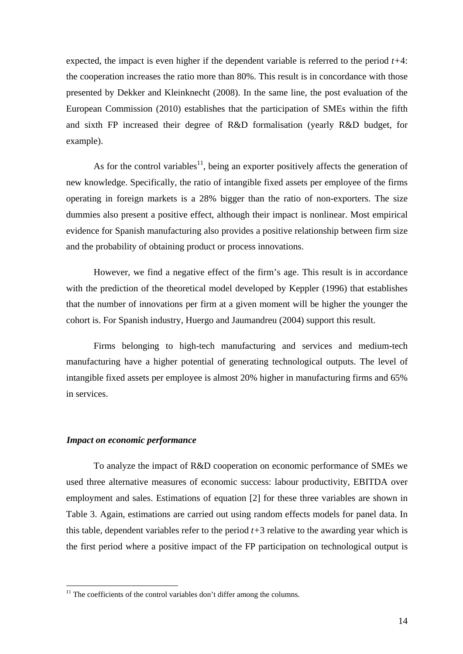expected, the impact is even higher if the dependent variable is referred to the period *t+*4: the cooperation increases the ratio more than 80%. This result is in concordance with those presented by Dekker and Kleinknecht (2008). In the same line, the post evaluation of the European Commission (2010) establishes that the participation of SMEs within the fifth and sixth FP increased their degree of R&D formalisation (yearly R&D budget, for example).

As for the control variables<sup>11</sup>, being an exporter positively affects the generation of new knowledge. Specifically, the ratio of intangible fixed assets per employee of the firms operating in foreign markets is a 28% bigger than the ratio of non-exporters. The size dummies also present a positive effect, although their impact is nonlinear. Most empirical evidence for Spanish manufacturing also provides a positive relationship between firm size and the probability of obtaining product or process innovations.

However, we find a negative effect of the firm's age. This result is in accordance with the prediction of the theoretical model developed by Keppler (1996) that establishes that the number of innovations per firm at a given moment will be higher the younger the cohort is. For Spanish industry, Huergo and Jaumandreu (2004) support this result.

Firms belonging to high-tech manufacturing and services and medium-tech manufacturing have a higher potential of generating technological outputs. The level of intangible fixed assets per employee is almost 20% higher in manufacturing firms and 65% in services.

## *Impact on economic performance*

1

To analyze the impact of R&D cooperation on economic performance of SMEs we used three alternative measures of economic success: labour productivity, EBITDA over employment and sales. Estimations of equation [2] for these three variables are shown in Table 3. Again, estimations are carried out using random effects models for panel data. In this table, dependent variables refer to the period  $t+3$  relative to the awarding year which is the first period where a positive impact of the FP participation on technological output is

 $11$ <sup>11</sup> The coefficients of the control variables don't differ among the columns.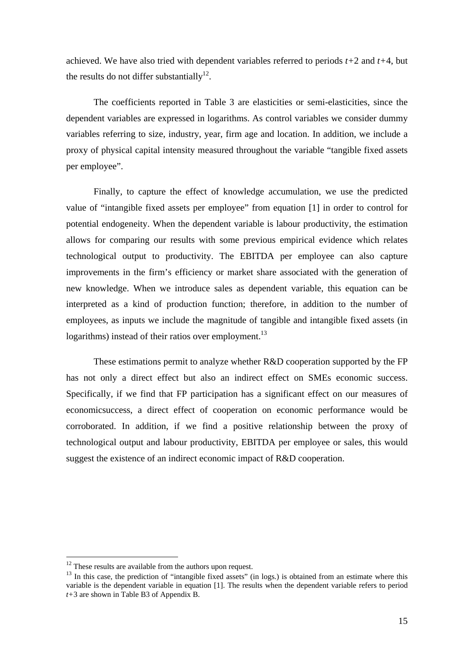achieved. We have also tried with dependent variables referred to periods *t+*2 and *t+*4, but the results do not differ substantially<sup>12</sup>.

The coefficients reported in Table 3 are elasticities or semi-elasticities, since the dependent variables are expressed in logarithms. As control variables we consider dummy variables referring to size, industry, year, firm age and location. In addition, we include a proxy of physical capital intensity measured throughout the variable "tangible fixed assets per employee".

Finally, to capture the effect of knowledge accumulation, we use the predicted value of "intangible fixed assets per employee" from equation [1] in order to control for potential endogeneity. When the dependent variable is labour productivity, the estimation allows for comparing our results with some previous empirical evidence which relates technological output to productivity. The EBITDA per employee can also capture improvements in the firm's efficiency or market share associated with the generation of new knowledge. When we introduce sales as dependent variable, this equation can be interpreted as a kind of production function; therefore, in addition to the number of employees, as inputs we include the magnitude of tangible and intangible fixed assets (in logarithms) instead of their ratios over employment.<sup>13</sup>

These estimations permit to analyze whether R&D cooperation supported by the FP has not only a direct effect but also an indirect effect on SMEs economic success. Specifically, if we find that FP participation has a significant effect on our measures of economicsuccess, a direct effect of cooperation on economic performance would be corroborated. In addition, if we find a positive relationship between the proxy of technological output and labour productivity, EBITDA per employee or sales, this would suggest the existence of an indirect economic impact of R&D cooperation.

 $12$  These results are available from the authors upon request.

 $13$  In this case, the prediction of "intangible fixed assets" (in logs.) is obtained from an estimate where this variable is the dependent variable in equation [1]. The results when the dependent variable refers to period *t+*3 are shown in Table B3 of Appendix B.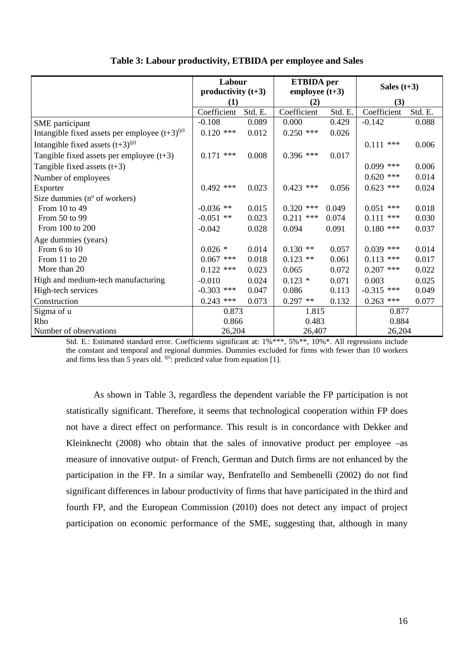|                                                    | Labour<br>productivity $(t+3)$ |         | <b>ETBIDA</b> per<br>employee $(t+3)$ |         | Sales $(t+3)$  |         |
|----------------------------------------------------|--------------------------------|---------|---------------------------------------|---------|----------------|---------|
|                                                    | (1)                            |         | (2)                                   |         | (3)            |         |
|                                                    | Coefficient                    | Std. E. | Coefficient                           | Std. E. | Coefficient    | Std. E. |
| SME participant                                    | $-0.108$                       | 0.089   | 0.000                                 | 0.429   | $-0.142$       | 0.088   |
| Intangible fixed assets per employee $(t+3)^{(p)}$ | $0.120$ ***                    | 0.012   | $0.250$ ***                           | 0.026   |                |         |
| Intangible fixed assets $(t+3)^{(p)}$              |                                |         |                                       |         | $0.111$ ***    | 0.006   |
| Tangible fixed assets per employee $(t+3)$         | $0.171$ ***                    | 0.008   | $0.396$ ***                           | 0.017   |                |         |
| Tangible fixed assets $(t+3)$                      |                                |         |                                       |         | $0.099$ ***    | 0.006   |
| Number of employees                                |                                |         |                                       |         | $0.620$ ***    | 0.014   |
| Exporter                                           | $0.492$ ***                    | 0.023   | $0.423$ ***                           | 0.056   | $0.623$ ***    | 0.024   |
| Size dummies (n° of workers)                       |                                |         |                                       |         |                |         |
| From 10 to 49                                      | $-0.036$ **                    | 0.015   | $0.320$ ***                           | 0.049   | $0.051$ ***    | 0.018   |
| From 50 to 99                                      | $-0.051$ **                    | 0.023   | $0.211$ ***                           | 0.074   | $0.111$ ***    | 0.030   |
| From 100 to 200                                    | $-0.042$                       | 0.028   | 0.094                                 | 0.091   | $0.180$ ***    | 0.037   |
| Age dummies (years)                                |                                |         |                                       |         |                |         |
| From 6 to 10                                       | $0.026$ *                      | 0.014   | $0.130**$                             | 0.057   | $0.039$ ***    | 0.014   |
| From 11 to 20                                      | $0.067$ ***                    | 0.018   | $0.123$ **                            | 0.061   | 0.113<br>***   | 0.017   |
| More than 20                                       | $0.122$ ***                    | 0.023   | 0.065                                 | 0.072   | $0.207$ ***    | 0.022   |
| High and medium-tech manufacturing                 | $-0.010$                       | 0.024   | $0.123*$                              | 0.071   | 0.003          | 0.025   |
| High-tech services                                 | $-0.303$ ***                   | 0.047   | 0.086                                 | 0.113   | $-0.315$ ***   | 0.049   |
| Construction                                       | $0.243$ ***                    | 0.073   | $0.297$ **                            | 0.132   | 0.263<br>$***$ | 0.077   |
| Sigma of u                                         | 0.873                          |         | 1.815                                 |         | 0.877          |         |
| Rho                                                | 0.866                          |         | 0.483                                 |         | 0.884          |         |
| Number of observations                             | 26,204                         |         | 26,407                                |         | 26,204         |         |

**Table 3: Labour productivity, ETBIDA per employee and Sales** 

Std. E.: Estimated standard error. Coefficients significant at: 1%\*\*\*, 5%\*\*, 10%\*. All regressions include the constant and temporal and regional dummies. Dummies excluded for firms with fewer than 10 workers and firms less than 5 years old.  $(p)$ : predicted value from equation [1].

As shown in Table 3, regardless the dependent variable the FP participation is not statistically significant. Therefore, it seems that technological cooperation within FP does not have a direct effect on performance. This result is in concordance with Dekker and Kleinknecht (2008) who obtain that the sales of innovative product per employee –as measure of innovative output- of French, German and Dutch firms are not enhanced by the participation in the FP. In a similar way, Benfratello and Sembenelli (2002) do not find significant differences in labour productivity of firms that have participated in the third and fourth FP, and the European Commission (2010) does not detect any impact of project participation on economic performance of the SME, suggesting that, although in many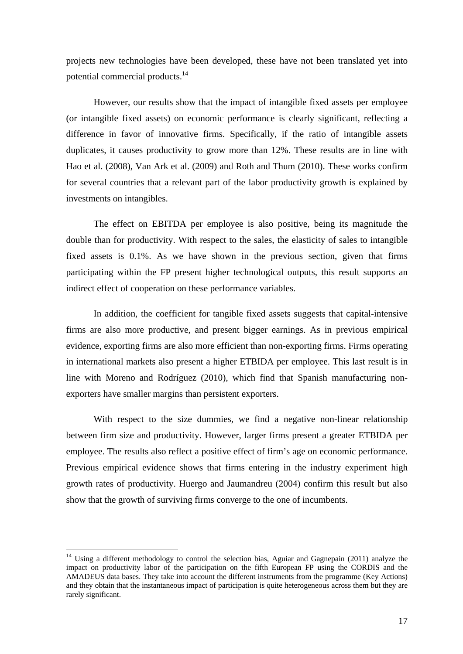projects new technologies have been developed, these have not been translated yet into potential commercial products.14

However, our results show that the impact of intangible fixed assets per employee (or intangible fixed assets) on economic performance is clearly significant, reflecting a difference in favor of innovative firms. Specifically, if the ratio of intangible assets duplicates, it causes productivity to grow more than 12%. These results are in line with Hao et al. (2008), Van Ark et al. (2009) and Roth and Thum (2010). These works confirm for several countries that a relevant part of the labor productivity growth is explained by investments on intangibles.

The effect on EBITDA per employee is also positive, being its magnitude the double than for productivity. With respect to the sales, the elasticity of sales to intangible fixed assets is 0.1%. As we have shown in the previous section, given that firms participating within the FP present higher technological outputs, this result supports an indirect effect of cooperation on these performance variables.

In addition, the coefficient for tangible fixed assets suggests that capital-intensive firms are also more productive, and present bigger earnings. As in previous empirical evidence, exporting firms are also more efficient than non-exporting firms. Firms operating in international markets also present a higher ETBIDA per employee. This last result is in line with Moreno and Rodríguez (2010), which find that Spanish manufacturing nonexporters have smaller margins than persistent exporters.

With respect to the size dummies, we find a negative non-linear relationship between firm size and productivity. However, larger firms present a greater ETBIDA per employee. The results also reflect a positive effect of firm's age on economic performance. Previous empirical evidence shows that firms entering in the industry experiment high growth rates of productivity. Huergo and Jaumandreu (2004) confirm this result but also show that the growth of surviving firms converge to the one of incumbents.

<u>.</u>

<sup>&</sup>lt;sup>14</sup> Using a different methodology to control the selection bias, Aguiar and Gagnepain (2011) analyze the impact on productivity labor of the participation on the fifth European FP using the CORDIS and the AMADEUS data bases. They take into account the different instruments from the programme (Key Actions) and they obtain that the instantaneous impact of participation is quite heterogeneous across them but they are rarely significant.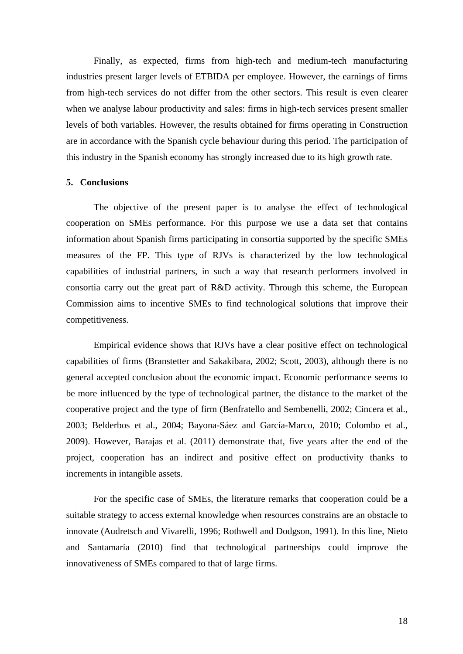Finally, as expected, firms from high-tech and medium-tech manufacturing industries present larger levels of ETBIDA per employee. However, the earnings of firms from high-tech services do not differ from the other sectors. This result is even clearer when we analyse labour productivity and sales: firms in high-tech services present smaller levels of both variables. However, the results obtained for firms operating in Construction are in accordance with the Spanish cycle behaviour during this period. The participation of this industry in the Spanish economy has strongly increased due to its high growth rate.

## **5. Conclusions**

The objective of the present paper is to analyse the effect of technological cooperation on SMEs performance. For this purpose we use a data set that contains information about Spanish firms participating in consortia supported by the specific SMEs measures of the FP. This type of RJVs is characterized by the low technological capabilities of industrial partners, in such a way that research performers involved in consortia carry out the great part of R&D activity. Through this scheme, the European Commission aims to incentive SMEs to find technological solutions that improve their competitiveness.

Empirical evidence shows that RJVs have a clear positive effect on technological capabilities of firms (Branstetter and Sakakibara, 2002; Scott, 2003), although there is no general accepted conclusion about the economic impact. Economic performance seems to be more influenced by the type of technological partner, the distance to the market of the cooperative project and the type of firm (Benfratello and Sembenelli, 2002; Cincera et al., 2003; Belderbos et al., 2004; Bayona-Sáez and García-Marco, 2010; Colombo et al., 2009). However, Barajas et al. (2011) demonstrate that, five years after the end of the project, cooperation has an indirect and positive effect on productivity thanks to increments in intangible assets.

For the specific case of SMEs, the literature remarks that cooperation could be a suitable strategy to access external knowledge when resources constrains are an obstacle to innovate (Audretsch and Vivarelli, 1996; Rothwell and Dodgson, 1991). In this line, Nieto and Santamaría (2010) find that technological partnerships could improve the innovativeness of SMEs compared to that of large firms.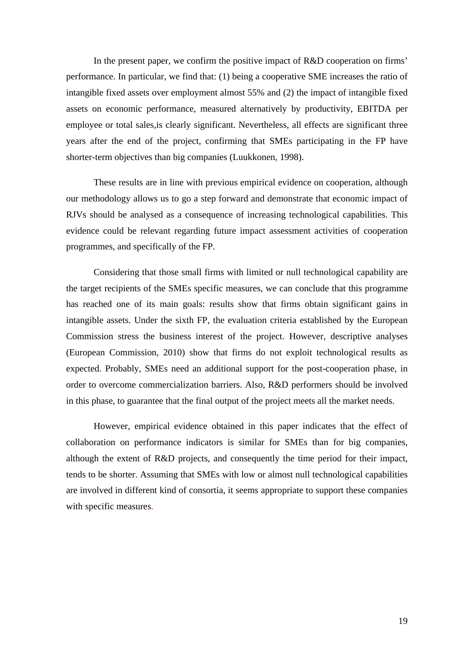In the present paper, we confirm the positive impact of R&D cooperation on firms' performance. In particular, we find that: (1) being a cooperative SME increases the ratio of intangible fixed assets over employment almost 55% and (2) the impact of intangible fixed assets on economic performance, measured alternatively by productivity, EBITDA per employee or total sales,is clearly significant. Nevertheless, all effects are significant three years after the end of the project, confirming that SMEs participating in the FP have shorter-term objectives than big companies (Luukkonen, 1998).

These results are in line with previous empirical evidence on cooperation, although our methodology allows us to go a step forward and demonstrate that economic impact of RJVs should be analysed as a consequence of increasing technological capabilities. This evidence could be relevant regarding future impact assessment activities of cooperation programmes, and specifically of the FP.

Considering that those small firms with limited or null technological capability are the target recipients of the SMEs specific measures, we can conclude that this programme has reached one of its main goals: results show that firms obtain significant gains in intangible assets. Under the sixth FP, the evaluation criteria established by the European Commission stress the business interest of the project. However, descriptive analyses (European Commission, 2010) show that firms do not exploit technological results as expected. Probably, SMEs need an additional support for the post-cooperation phase, in order to overcome commercialization barriers. Also, R&D performers should be involved in this phase, to guarantee that the final output of the project meets all the market needs.

However, empirical evidence obtained in this paper indicates that the effect of collaboration on performance indicators is similar for SMEs than for big companies, although the extent of R&D projects, and consequently the time period for their impact, tends to be shorter. Assuming that SMEs with low or almost null technological capabilities are involved in different kind of consortia, it seems appropriate to support these companies with specific measures.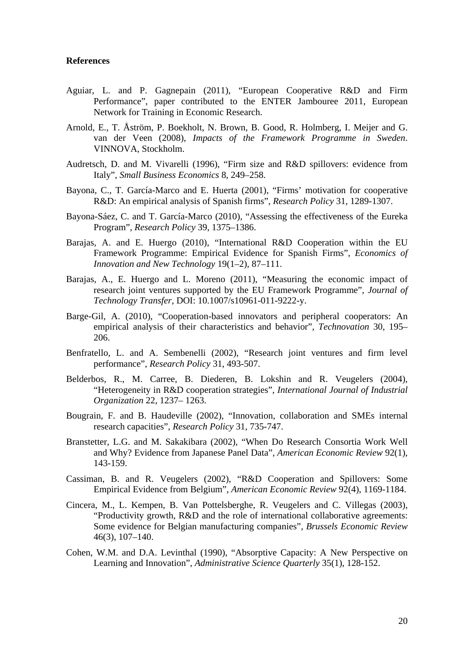### **References**

- Aguiar, L. and P. Gagnepain (2011), "European Cooperative R&D and Firm Performance", paper contributed to the ENTER Jambouree 2011, European Network for Training in Economic Research.
- Arnold, E., T. Åström, P. Boekholt, N. Brown, B. Good, R. Holmberg, I. Meijer and G. van der Veen (2008), *Impacts of the Framework Programme in Sweden*. VINNOVA, Stockholm.
- Audretsch, D. and M. Vivarelli (1996), "Firm size and R&D spillovers: evidence from Italy", *Small Business Economics* 8, 249–258.
- Bayona, C., T. García-Marco and E. Huerta (2001), "Firms' motivation for cooperative R&D: An empirical analysis of Spanish firms", *Research Policy* 31, 1289-1307.
- Bayona-Sáez, C. and T. García-Marco (2010), "Assessing the effectiveness of the Eureka Program", *Research Policy* 39, 1375–1386.
- Barajas, A. and E. Huergo (2010), "International R&D Cooperation within the EU Framework Programme: Empirical Evidence for Spanish Firms", *Economics of Innovation and New Technology* 19(1–2), 87–111.
- Barajas, A., E. Huergo and L. Moreno (2011), "Measuring the economic impact of research joint ventures supported by the EU Framework Programme", *Journal of Technology Transfer*, DOI: 10.1007/s10961-011-9222-y.
- Barge-Gil, A. (2010), "Cooperation-based innovators and peripheral cooperators: An empirical analysis of their characteristics and behavior", *Technovation* 30, 195– 206.
- Benfratello, L. and A. Sembenelli (2002), "Research joint ventures and firm level performance", *Research Policy* 31, 493-507.
- Belderbos, R., M. Carree, B. Diederen, B. Lokshin and R. Veugelers (2004), "Heterogeneity in R&D cooperation strategies", *International Journal of Industrial Organization* 22, 1237– 1263.
- Bougrain, F. and B. Haudeville (2002), "Innovation, collaboration and SMEs internal research capacities", *Research Policy* 31, 735-747.
- Branstetter, L.G. and M. Sakakibara (2002), "When Do Research Consortia Work Well and Why? Evidence from Japanese Panel Data", *American Economic Review* 92(1), 143-159.
- Cassiman, B. and R. Veugelers (2002), "R&D Cooperation and Spillovers: Some Empirical Evidence from Belgium", *American Economic Review* 92(4), 1169-1184.
- Cincera, M., L. Kempen, B. Van Pottelsberghe, R. Veugelers and C. Villegas (2003), "Productivity growth, R&D and the role of international collaborative agreements: Some evidence for Belgian manufacturing companies", *Brussels Economic Review* 46(3), 107–140.
- Cohen, W.M. and D.A. Levinthal (1990), "Absorptive Capacity: A New Perspective on Learning and Innovation", *Administrative Science Quarterly* 35(1), 128-152.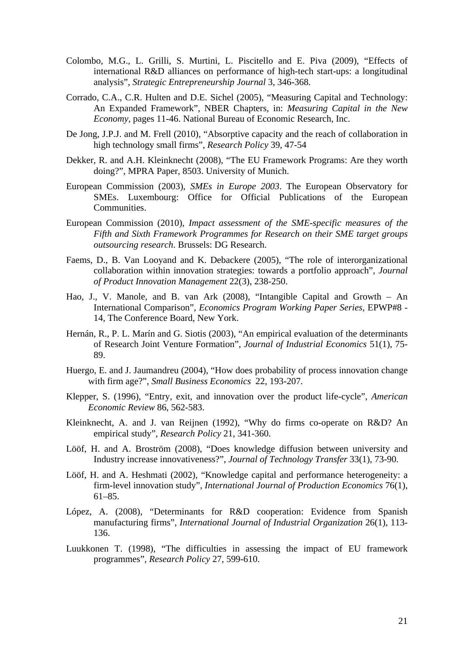- Colombo, M.G., L. Grilli, S. Murtini, L. Piscitello and E. Piva (2009), "Effects of international R&D alliances on performance of high-tech start-ups: a longitudinal analysis", *Strategic Entrepreneurship Journal* 3, 346-368.
- Corrado, C.A., C.R. Hulten and D.E. Sichel (2005), "Measuring Capital and Technology: An Expanded Framework", NBER Chapters, in: *Measuring Capital in the New Economy*, pages 11-46. National Bureau of Economic Research, Inc.
- De Jong, J.P.J. and M. Frell (2010), "Absorptive capacity and the reach of collaboration in high technology small firms", *Research Policy* 39, 47-54
- Dekker, R. and A.H. Kleinknecht (2008), "The EU Framework Programs: Are they worth doing?", MPRA Paper, 8503. University of Munich.
- European Commission (2003), *SMEs in Europe 2003*. The European Observatory for SMEs. Luxembourg: Office for Official Publications of the European Communities.
- European Commission (2010), *Impact assessment of the SME-specific measures of the Fifth and Sixth Framework Programmes for Research on their SME target groups outsourcing research*. Brussels: DG Research.
- Faems, D., B. Van Looyand and K. Debackere (2005), "The role of interorganizational collaboration within innovation strategies: towards a portfolio approach", *Journal of Product Innovation Management* 22(3), 238-250.
- Hao, J., V. Manole, and B. van Ark (2008), "Intangible Capital and Growth An International Comparison", *Economics Program Working Paper Series,* EPWP#8 - 14, The Conference Board, New York.
- Hernán, R., P. L. Marín and G. Siotis (2003), "An empirical evaluation of the determinants of Research Joint Venture Formation", *Journal of Industrial Economics* 51(1), 75- 89.
- Huergo, E. and J. Jaumandreu (2004), "How does probability of process innovation change with firm age?", *Small Business Economics* 22, 193-207*.*
- Klepper, S. (1996), "Entry, exit, and innovation over the product life-cycle", *American Economic Review* 86, 562-583.
- Kleinknecht, A. and J. van Reijnen (1992), "Why do firms co-operate on R&D? An empirical study", *Research Policy* 21, 341-360.
- Lööf, H. and A. Broström (2008), "Does knowledge diffusion between university and Industry increase innovativeness?", *Journal of Technology Transfer* 33(1), 73-90.
- Lööf, H. and A. Heshmati (2002), "Knowledge capital and performance heterogeneity: a firm-level innovation study", *International Journal of Production Economics* 76(1), 61–85.
- López, A. (2008), "Determinants for R&D cooperation: Evidence from Spanish manufacturing firms", *International Journal of Industrial Organization* 26(1), 113- 136.
- Luukkonen T. (1998), "The difficulties in assessing the impact of EU framework programmes", *Research Policy* 27, 599-610.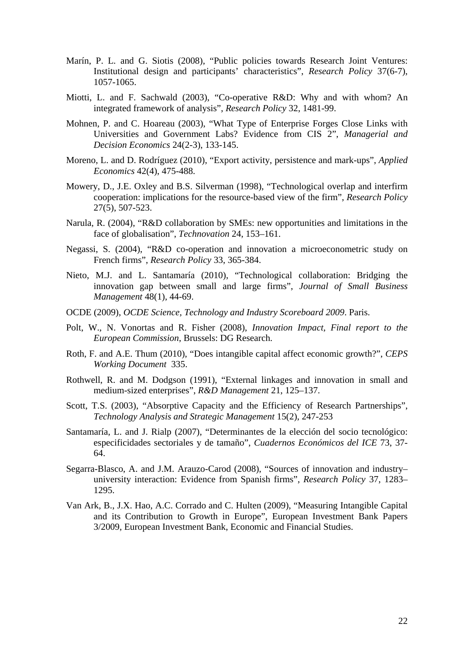- Marín, P. L. and G. Siotis (2008), "Public policies towards Research Joint Ventures: Institutional design and participants' characteristics", *Research Policy* 37(6-7), 1057-1065.
- Miotti, L. and F. Sachwald (2003), "Co-operative R&D: Why and with whom? An integrated framework of analysis", *Research Policy* 32, 1481-99.
- Mohnen, P. and C. Hoareau (2003), "What Type of Enterprise Forges Close Links with Universities and Government Labs? Evidence from CIS 2", *Managerial and Decision Economics* 24(2-3), 133-145.
- Moreno, L. and D. Rodríguez (2010), "Export activity, persistence and mark-ups", *Applied Economics* 42(4), 475-488.
- Mowery, D., J.E. Oxley and B.S. Silverman (1998), "Technological overlap and interfirm cooperation: implications for the resource-based view of the firm", *Research Policy* 27(5), 507-523.
- Narula, R. (2004), "R&D collaboration by SMEs: new opportunities and limitations in the face of globalisation", *Technovation* 24, 153–161.
- Negassi, S. (2004), "R&D co-operation and innovation a microeconometric study on French firms", *Research Policy* 33, 365-384.
- Nieto, M.J. and L. Santamaría (2010), "Technological collaboration: Bridging the innovation gap between small and large firms", *Journal of Small Business Management* 48(1), 44-69.
- OCDE (2009), *OCDE Science, Technology and Industry Scoreboard 2009*. Paris.
- Polt, W., N. Vonortas and R. Fisher (2008), *Innovation Impact, Final report to the European Commission*, Brussels: DG Research.
- Roth, F. and A.E. Thum (2010), "Does intangible capital affect economic growth?", *CEPS Working Document* 335.
- Rothwell, R. and M. Dodgson (1991), "External linkages and innovation in small and medium-sized enterprises", *R&D Management* 21, 125–137.
- Scott, T.S. (2003), "Absorptive Capacity and the Efficiency of Research Partnerships", *Technology Analysis and Strategic Management* 15(2), 247-253
- Santamaría, L. and J. Rialp (2007), "Determinantes de la elección del socio tecnológico: especificidades sectoriales y de tamaño", *Cuadernos Económicos del ICE* 73, 37- 64.
- Segarra-Blasco, A. and J.M. Arauzo-Carod (2008), "Sources of innovation and industry– university interaction: Evidence from Spanish firms", *Research Policy* 37, 1283– 1295.
- Van Ark, B., J.X. Hao, A.C. Corrado and C. Hulten (2009), "Measuring Intangible Capital and its Contribution to Growth in Europe", European Investment Bank Papers 3/2009, European Investment Bank, Economic and Financial Studies.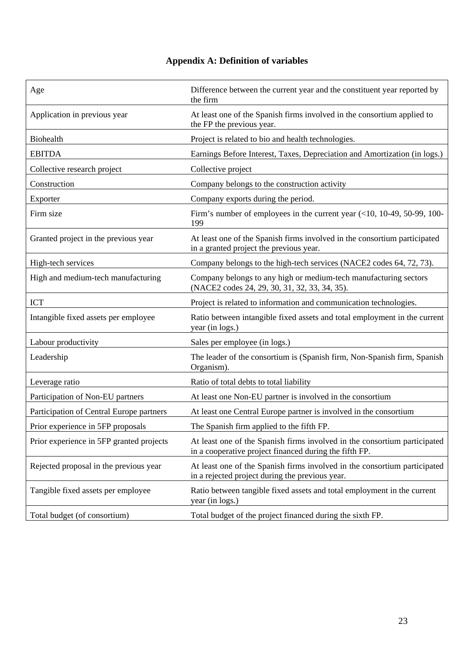## **Appendix A: Definition of variables**

| Age                                      | Difference between the current year and the constituent year reported by<br>the firm                                                |
|------------------------------------------|-------------------------------------------------------------------------------------------------------------------------------------|
| Application in previous year             | At least one of the Spanish firms involved in the consortium applied to<br>the FP the previous year.                                |
| <b>Biohealth</b>                         | Project is related to bio and health technologies.                                                                                  |
| <b>EBITDA</b>                            | Earnings Before Interest, Taxes, Depreciation and Amortization (in logs.)                                                           |
| Collective research project              | Collective project                                                                                                                  |
| Construction                             | Company belongs to the construction activity                                                                                        |
| Exporter                                 | Company exports during the period.                                                                                                  |
| Firm size                                | Firm's number of employees in the current year $(<10, 10-49, 50-99, 100-$<br>199                                                    |
| Granted project in the previous year     | At least one of the Spanish firms involved in the consortium participated<br>in a granted project the previous year.                |
| High-tech services                       | Company belongs to the high-tech services (NACE2 codes 64, 72, 73).                                                                 |
| High and medium-tech manufacturing       | Company belongs to any high or medium-tech manufacturing sectors<br>(NACE2 codes 24, 29, 30, 31, 32, 33, 34, 35).                   |
| <b>ICT</b>                               | Project is related to information and communication technologies.                                                                   |
| Intangible fixed assets per employee     | Ratio between intangible fixed assets and total employment in the current<br>year (in logs.)                                        |
| Labour productivity                      | Sales per employee (in logs.)                                                                                                       |
| Leadership                               | The leader of the consortium is (Spanish firm, Non-Spanish firm, Spanish<br>Organism).                                              |
| Leverage ratio                           | Ratio of total debts to total liability                                                                                             |
| Participation of Non-EU partners         | At least one Non-EU partner is involved in the consortium                                                                           |
| Participation of Central Europe partners | At least one Central Europe partner is involved in the consortium                                                                   |
| Prior experience in 5FP proposals        | The Spanish firm applied to the fifth FP.                                                                                           |
| Prior experience in 5FP granted projects | At least one of the Spanish firms involved in the consortium participated<br>in a cooperative project financed during the fifth FP. |
| Rejected proposal in the previous year   | At least one of the Spanish firms involved in the consortium participated<br>in a rejected project during the previous year.        |
| Tangible fixed assets per employee       | Ratio between tangible fixed assets and total employment in the current<br>year (in logs.)                                          |
| Total budget (of consortium)             | Total budget of the project financed during the sixth FP.                                                                           |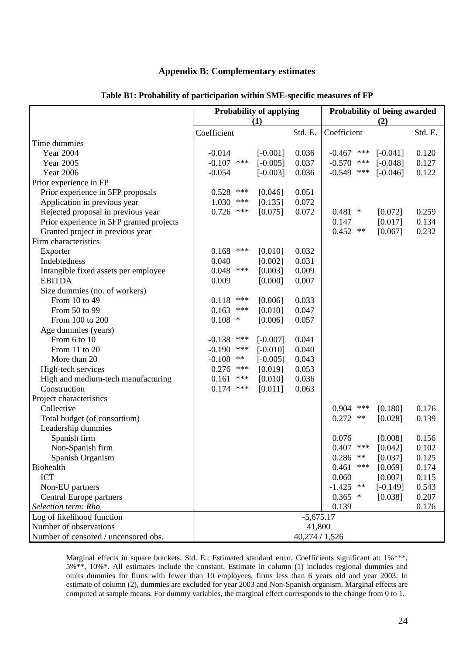## **Appendix B: Complementary estimates**

|                                          | Probability of applying |            | Probability of being awarded |                 |            |         |
|------------------------------------------|-------------------------|------------|------------------------------|-----------------|------------|---------|
|                                          | (1)                     |            |                              | (2)             |            |         |
|                                          | Coefficient             |            | Std. E.                      | Coefficient     |            | Std. E. |
| Time dummies                             |                         |            |                              |                 |            |         |
| <b>Year 2004</b>                         | $-0.014$                | $[-0.001]$ | 0.036                        | ***<br>$-0.467$ | $[-0.041]$ | 0.120   |
| <b>Year 2005</b>                         | $-0.107$<br>***         | $[-0.005]$ | 0.037                        | $-0.570$<br>*** | $[-0.048]$ | 0.127   |
| <b>Year 2006</b>                         | $-0.054$                | $[-0.003]$ | 0.036                        | $-0.549$<br>*** | $[-0.046]$ | 0.122   |
| Prior experience in FP                   |                         |            |                              |                 |            |         |
| Prior experience in 5FP proposals        | 0.528<br>***            | [0.046]    | 0.051                        |                 |            |         |
| Application in previous year             | 1.030<br>***            | [0.135]    | 0.072                        |                 |            |         |
| Rejected proposal in previous year       | 0.726<br>***            | [0.075]    | 0.072                        | $0.481$ *       | [0.072]    | 0.259   |
| Prior experience in 5FP granted projects |                         |            |                              | 0.147           | [0.017]    | 0.134   |
| Granted project in previous year         |                         |            |                              | $**$<br>0.452   | [0.067]    | 0.232   |
| Firm characteristics                     |                         |            |                              |                 |            |         |
| Exporter                                 | ***<br>0.168            | [0.010]    | 0.032                        |                 |            |         |
| Indebtedness                             | 0.040                   | [0.002]    | 0.031                        |                 |            |         |
| Intangible fixed assets per employee     | 0.048<br>***            | [0.003]    | 0.009                        |                 |            |         |
| <b>EBITDA</b>                            | 0.009                   | [0.000]    | 0.007                        |                 |            |         |
| Size dummies (no. of workers)            |                         |            |                              |                 |            |         |
| From 10 to 49                            | 0.118<br>***            | [0.006]    | 0.033                        |                 |            |         |
| From 50 to 99                            | 0.163<br>***            | [0.010]    | 0.047                        |                 |            |         |
| From 100 to 200                          | 0.108<br>$\ast$         | [0.006]    | 0.057                        |                 |            |         |
| Age dummies (years)                      |                         |            |                              |                 |            |         |
| From 6 to 10                             | ***<br>$-0.138$         | $[-0.007]$ | 0.041                        |                 |            |         |
| From 11 to 20                            | ***<br>$-0.190$         | $[-0.010]$ | 0.040                        |                 |            |         |
| More than 20                             | $-0.108$<br>$***$       | $[-0.005]$ | 0.043                        |                 |            |         |
| High-tech services                       | 0.276<br>***            | [0.019]    | 0.053                        |                 |            |         |
| High and medium-tech manufacturing       | 0.161<br>***            | [0.010]    | 0.036                        |                 |            |         |
| Construction                             | 0.174<br>***            | [0.011]    | 0.063                        |                 |            |         |
| Project characteristics                  |                         |            |                              |                 |            |         |
| Collective                               |                         |            |                              | ***<br>0.904    | [0.180]    | 0.176   |
| Total budget (of consortium)             |                         |            |                              | 0.272<br>$***$  | [0.028]    | 0.139   |
| Leadership dummies                       |                         |            |                              |                 |            |         |
| Spanish firm                             |                         |            |                              | 0.076           | [0.008]    | 0.156   |
| Non-Spanish firm                         |                         |            |                              | ***<br>0.407    | [0.042]    | 0.102   |
| Spanish Organism                         |                         |            |                              | 0.286<br>$***$  | [0.037]    | 0.125   |
| <b>Biohealth</b>                         |                         |            |                              | 0.461<br>***    | [0.069]    | 0.174   |
| <b>ICT</b>                               |                         |            |                              | 0.060           | [0.007]    | 0.115   |
| Non-EU partners                          |                         |            |                              | $-1.425$ **     | $[-0.149]$ | 0.543   |
| Central Europe partners                  |                         |            |                              | $0.365$ *       | [0.038]    | 0.207   |
| Selection term: Rho                      |                         |            |                              | 0.139           |            | 0.176   |
| Log of likelihood function               | $-5,675.17$             |            |                              |                 |            |         |
| Number of observations                   |                         |            | 41,800                       |                 |            |         |
| Number of censored / uncensored obs.     |                         |            | 40,274/1,526                 |                 |            |         |

## **Table B1: Probability of participation within SME-specific measures of FP**

Marginal effects in square brackets. Std. E.: Estimated standard error. Coefficients significant at: 1%\*\*\*, 5%\*\*, 10%\*. All estimates include the constant. Estimate in column (1) includes regional dummies and omits dummies for firms with fewer than 10 employees, firms less than 6 years old and year 2003. In estimate of column (2), dummies are excluded for year 2003 and Non-Spanish organism. Marginal effects are computed at sample means. For dummy variables, the marginal effect corresponds to the change from 0 to 1.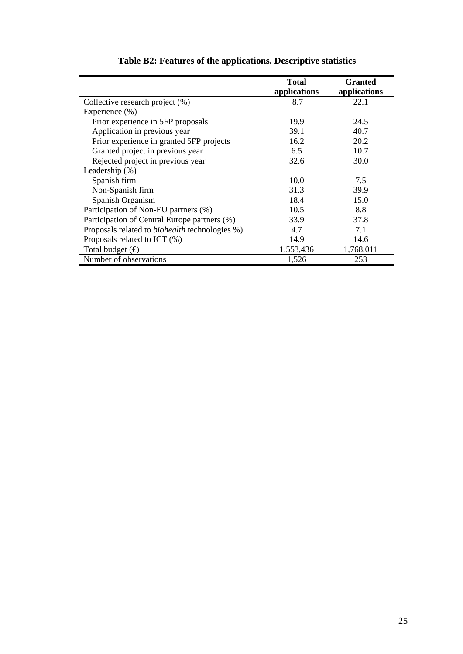|                                                       | <b>Total</b><br>applications | <b>Granted</b><br>applications |
|-------------------------------------------------------|------------------------------|--------------------------------|
| Collective research project (%)                       | 8.7                          | 22.1                           |
| Experience (%)                                        |                              |                                |
| Prior experience in 5FP proposals                     | 19.9                         | 24.5                           |
| Application in previous year                          | 39.1                         | 40.7                           |
| Prior experience in granted 5FP projects              | 16.2                         | 20.2                           |
| Granted project in previous year                      | 6.5                          | 10.7                           |
| Rejected project in previous year                     | 32.6                         | 30.0                           |
| Leadership (%)                                        |                              |                                |
| Spanish firm                                          | 10.0                         | 7.5                            |
| Non-Spanish firm                                      | 31.3                         | 39.9                           |
| Spanish Organism                                      | 18.4                         | 15.0                           |
| Participation of Non-EU partners (%)                  | 10.5                         | 8.8                            |
| Participation of Central Europe partners (%)          | 33.9                         | 37.8                           |
| Proposals related to <i>biohealth</i> technologies %) | 4.7                          | 7.1                            |
| Proposals related to ICT (%)                          | 14.9                         | 14.6                           |
| Total budget $(\bigoplus$                             | 1,553,436                    | 1,768,011                      |
| Number of observations                                | 1,526                        | 253                            |

# **Table B2: Features of the applications. Descriptive statistics**